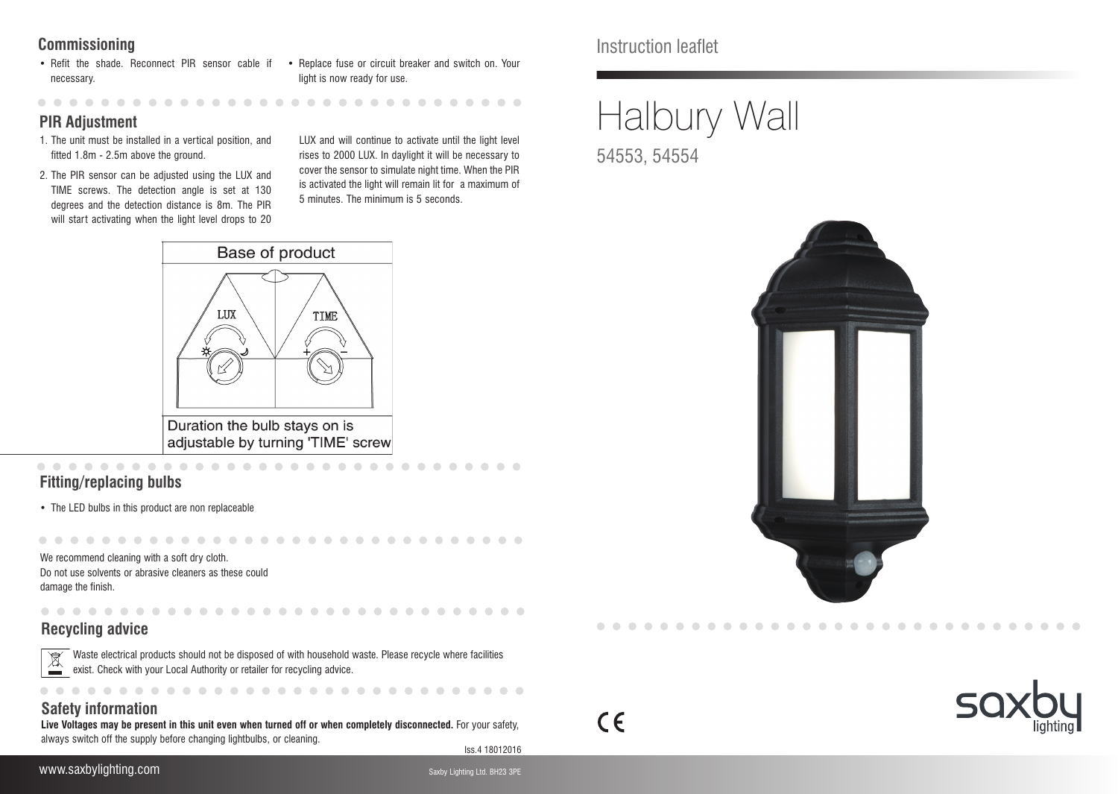### **Commissioning**

• Refit the shade. Reconnect PIR sensor cable if • Replace fuse or circuit breaker and switch on. Your necessary.

light is now ready for use.

**. . . . . . . . . . . . .** 

### **PIR Adjustment**

. . . . . . . . . . .

- 1. The unit must be installed in a vertical position, and fitted 1.8m - 2.5m above the ground.
- 2. The PIR sensor can be adjusted using the LUX and TIME screws. The detection angle is set at 130 degrees and the detection distance is 8m. The PIR will start activating when the light level drops to 20

LUX and will continue to activate until the light level rises to 2000 LUX. In daylight it will be necessary to cover the sensor to simulate night time. When the PIR is activated the light will remain lit for a maximum of 5 minutes. The minimum is 5 seconds.

. . . . . . . . . . . . . . .



### **Fitting/replacing bulbs**

• The LED bulbs in this product are non replaceable

We recommend cleaning with a soft dry cloth. Do not use solvents or abrasive cleaners as these could damage the finish.

### **Recycling advice**

Waste electrical products should not be disposed of with household waste. Please recycle where facilities  $\boxed{\mathbb{M}}$ exist. Check with your Local Authority or retailer for recycling advice.

#### $\bullet$   $\bullet$

### **Safety information**

Iss.4 18012016 **Live Voltages may be present in this unit even when turned off or when completely disconnected.** For your safety, always switch off the supply before changing lightbulbs, or cleaning.

www.saxbylighting.com Saxby Lighting Ltd. BH23 3PE

Instruction leaflet

# Halbury Wall

54553, 54554